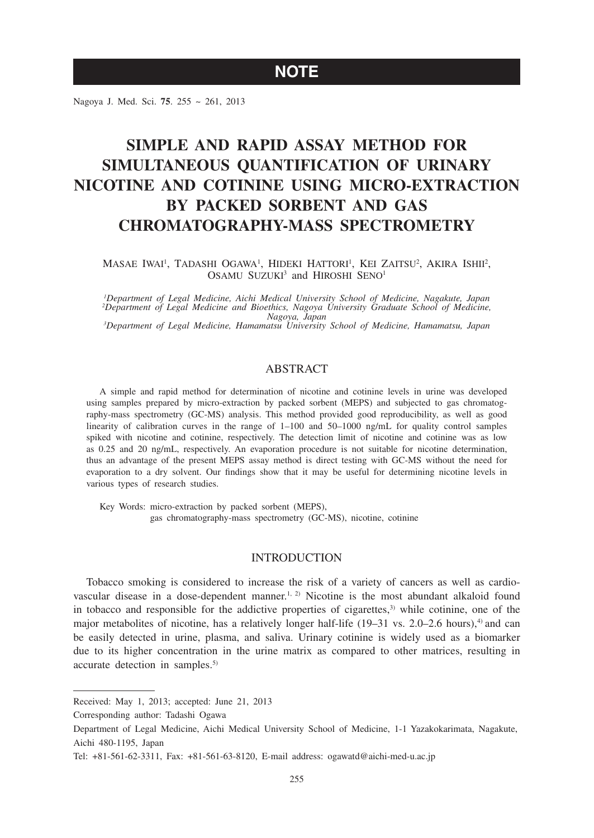## **NOTE**

Nagoya J. Med. Sci. **75**. 255 ~ 261, 2013

# **SIMPLE AND RAPID ASSAY METHOD FOR SIMULTANEOUS QUANTIFICATION OF URINARY NICOTINE AND COTININE USING MICRO-EXTRACTION BY PACKED SORBENT AND GAS CHROMATOGRAPHY-MASS SPECTROMETRY**

Masae Iwai<sup>i</sup>, Tadashi Ogawa<sup>i</sup>, Hideki Hattori<sup>i</sup>, Kei Zaitsu<sup>2</sup>, Akira Ishii<sup>2</sup>, OSAMU SUZUKI<sup>3</sup> and HIROSHI SENO<sup>1</sup>

*1 Department of Legal Medicine, Aichi Medical University School of Medicine, Nagakute, Japan 2 Department of Legal Medicine and Bioethics, Nagoya University Graduate School of Medicine, Nagoya, Japan <sup>3</sup> Department of Legal Medicine, Hamamatsu University School of Medicine, Hamamatsu, Japan*

## ABSTRACT

A simple and rapid method for determination of nicotine and cotinine levels in urine was developed using samples prepared by micro-extraction by packed sorbent (MEPS) and subjected to gas chromatography-mass spectrometry (GC-MS) analysis. This method provided good reproducibility, as well as good linearity of calibration curves in the range of 1–100 and 50–1000 ng/mL for quality control samples spiked with nicotine and cotinine, respectively. The detection limit of nicotine and cotinine was as low as 0.25 and 20 ng/mL, respectively. An evaporation procedure is not suitable for nicotine determination, thus an advantage of the present MEPS assay method is direct testing with GC-MS without the need for evaporation to a dry solvent. Our findings show that it may be useful for determining nicotine levels in various types of research studies.

Key Words: micro-extraction by packed sorbent (MEPS), gas chromatography-mass spectrometry (GC-MS), nicotine, cotinine

## INTRODUCTION

Tobacco smoking is considered to increase the risk of a variety of cancers as well as cardiovascular disease in a dose-dependent manner.<sup>1, 2)</sup> Nicotine is the most abundant alkaloid found in tobacco and responsible for the addictive properties of cigarettes, $3$ ) while cotinine, one of the major metabolites of nicotine, has a relatively longer half-life  $(19-31 \text{ vs. } 2.0-2.6 \text{ hours})$ ,<sup>4)</sup> and can be easily detected in urine, plasma, and saliva. Urinary cotinine is widely used as a biomarker due to its higher concentration in the urine matrix as compared to other matrices, resulting in accurate detection in samples.<sup>5)</sup>

Received: May 1, 2013; accepted: June 21, 2013

Corresponding author: Tadashi Ogawa

Department of Legal Medicine, Aichi Medical University School of Medicine, 1-1 Yazakokarimata, Nagakute, Aichi 480-1195, Japan

Tel: +81-561-62-3311, Fax: +81-561-63-8120, E-mail address: ogawatd@aichi-med-u.ac.jp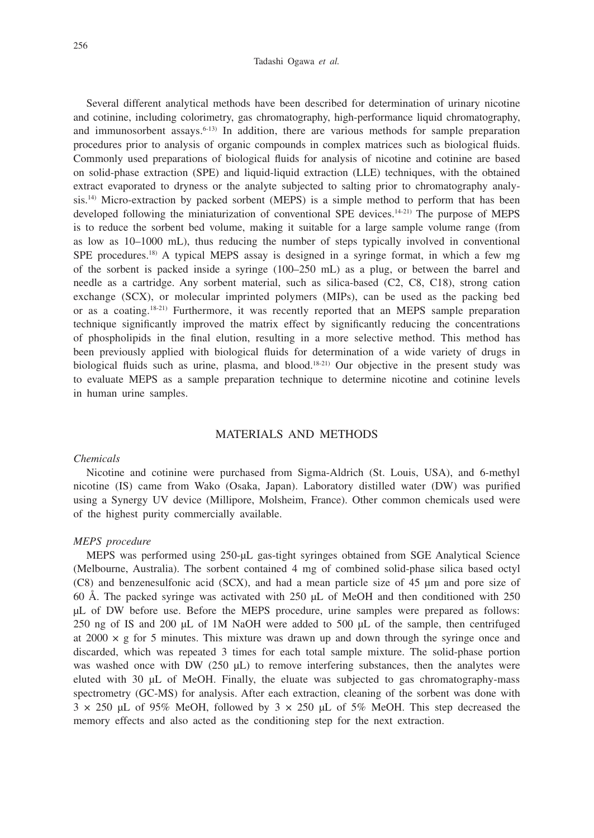#### Tadashi Ogawa *et al.*

Several different analytical methods have been described for determination of urinary nicotine and cotinine, including colorimetry, gas chromatography, high-performance liquid chromatography, and immunosorbent assays. $6-13$  In addition, there are various methods for sample preparation procedures prior to analysis of organic compounds in complex matrices such as biological fluids. Commonly used preparations of biological fluids for analysis of nicotine and cotinine are based on solid-phase extraction (SPE) and liquid-liquid extraction (LLE) techniques, with the obtained extract evaporated to dryness or the analyte subjected to salting prior to chromatography analysis.<sup>14)</sup> Micro-extraction by packed sorbent (MEPS) is a simple method to perform that has been developed following the miniaturization of conventional SPE devices.<sup>14-21)</sup> The purpose of MEPS is to reduce the sorbent bed volume, making it suitable for a large sample volume range (from as low as 10–1000 mL), thus reducing the number of steps typically involved in conventional SPE procedures.18) A typical MEPS assay is designed in a syringe format, in which a few mg of the sorbent is packed inside a syringe (100–250 mL) as a plug, or between the barrel and needle as a cartridge. Any sorbent material, such as silica-based (C2, C8, C18), strong cation exchange (SCX), or molecular imprinted polymers (MIPs), can be used as the packing bed or as a coating.18-21) Furthermore, it was recently reported that an MEPS sample preparation technique significantly improved the matrix effect by significantly reducing the concentrations of phospholipids in the final elution, resulting in a more selective method. This method has been previously applied with biological fluids for determination of a wide variety of drugs in biological fluids such as urine, plasma, and blood.<sup>18-21)</sup> Our objective in the present study was to evaluate MEPS as a sample preparation technique to determine nicotine and cotinine levels in human urine samples.

## MATERIALS AND METHODS

## *Chemicals*

Nicotine and cotinine were purchased from Sigma-Aldrich (St. Louis, USA), and 6-methyl nicotine (IS) came from Wako (Osaka, Japan). Laboratory distilled water (DW) was purified using a Synergy UV device (Millipore, Molsheim, France). Other common chemicals used were of the highest purity commercially available.

#### *MEPS procedure*

MEPS was performed using 250-μL gas-tight syringes obtained from SGE Analytical Science (Melbourne, Australia). The sorbent contained 4 mg of combined solid-phase silica based octyl (C8) and benzenesulfonic acid (SCX), and had a mean particle size of 45 μm and pore size of 60 Å. The packed syringe was activated with 250 μL of MeOH and then conditioned with 250 μL of DW before use. Before the MEPS procedure, urine samples were prepared as follows: 250 ng of IS and 200 μL of 1M NaOH were added to 500 μL of the sample, then centrifuged at  $2000 \times g$  for 5 minutes. This mixture was drawn up and down through the syringe once and discarded, which was repeated 3 times for each total sample mixture. The solid-phase portion was washed once with DW (250  $\mu$ L) to remove interfering substances, then the analytes were eluted with 30 μL of MeOH. Finally, the eluate was subjected to gas chromatography-mass spectrometry (GC-MS) for analysis. After each extraction, cleaning of the sorbent was done with  $3 \times 250$  μL of 95% MeOH, followed by  $3 \times 250$  μL of 5% MeOH. This step decreased the memory effects and also acted as the conditioning step for the next extraction.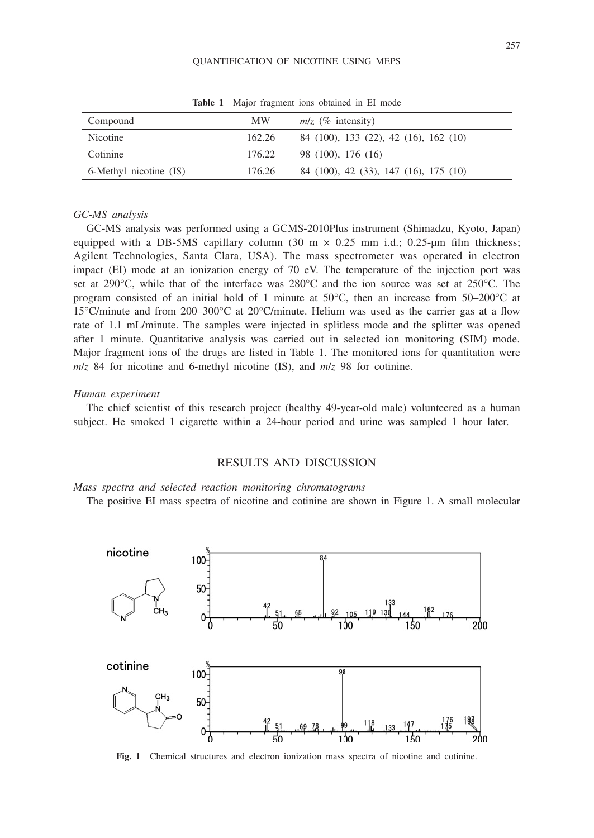#### QUANTIFICATION OF NICOTINE USING MEPS

| Compound               | MW.    | $m/z$ (% intensity)                   |
|------------------------|--------|---------------------------------------|
| Nicotine               | 162.26 | 84 (100), 133 (22), 42 (16), 162 (10) |
| Cotinine               | 176.22 | 98 (100), 176 (16)                    |
| 6-Methyl nicotine (IS) | 176.26 | 84 (100), 42 (33), 147 (16), 175 (10) |

**Table 1** Major fragment ions obtained in EI mode

## *GC-MS analysis*

GC-MS analysis was performed using a GCMS-2010Plus instrument (Shimadzu, Kyoto, Japan) equipped with a DB-5MS capillary column  $(30 \text{ m} \times 0.25 \text{ mm} \text{ i.d.}; 0.25 \text{ mm} \text{ film thickness};$ Agilent Technologies, Santa Clara, USA). The mass spectrometer was operated in electron impact (EI) mode at an ionization energy of 70 eV. The temperature of the injection port was set at 290°C, while that of the interface was 280°C and the ion source was set at 250°C. The program consisted of an initial hold of 1 minute at  $50^{\circ}$ C, then an increase from  $50-200^{\circ}$ C at 15°C/minute and from 200–300°C at 20°C/minute. Helium was used as the carrier gas at a flow rate of 1.1 mL/minute. The samples were injected in splitless mode and the splitter was opened after 1 minute. Quantitative analysis was carried out in selected ion monitoring (SIM) mode. Major fragment ions of the drugs are listed in Table 1. The monitored ions for quantitation were *m*/*z* 84 for nicotine and 6-methyl nicotine (IS), and *m*/*z* 98 for cotinine.

## *Human experiment*

The chief scientist of this research project (healthy 49-year-old male) volunteered as a human subject. He smoked 1 cigarette within a 24-hour period and urine was sampled 1 hour later.

## RESULTS AND DISCUSSION

*Mass spectra and selected reaction monitoring chromatograms*

The positive EI mass spectra of nicotine and cotinine are shown in Figure 1. A small molecular



Fig. 1 Chemical structures and electron ionization mass spectra of nicotine and cotinine.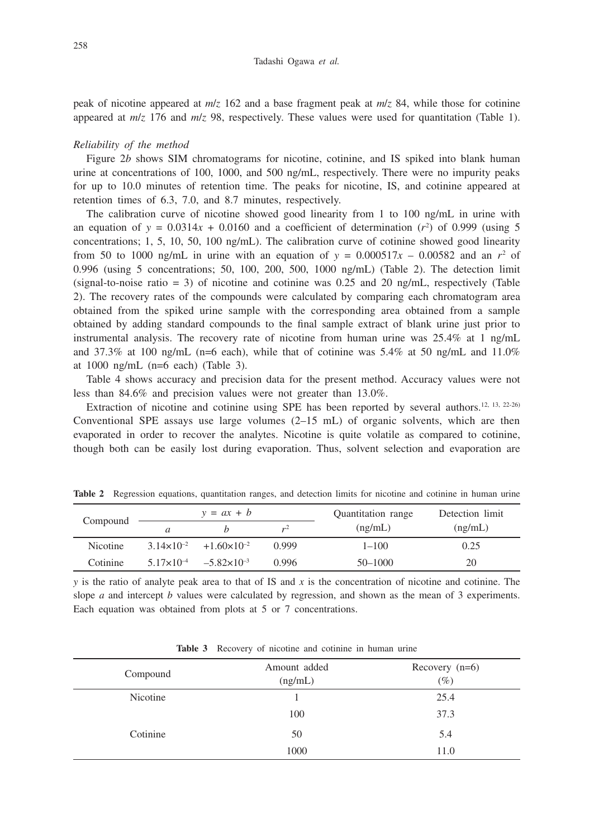peak of nicotine appeared at *m*/*z* 162 and a base fragment peak at *m*/*z* 84, while those for cotinine appeared at *m*/*z* 176 and *m*/*z* 98, respectively. These values were used for quantitation (Table 1).

#### *Reliability of the method*

Figure 2*b* shows SIM chromatograms for nicotine, cotinine, and IS spiked into blank human urine at concentrations of 100, 1000, and 500 ng/mL, respectively. There were no impurity peaks for up to 10.0 minutes of retention time. The peaks for nicotine, IS, and cotinine appeared at retention times of 6.3, 7.0, and 8.7 minutes, respectively.

The calibration curve of nicotine showed good linearity from 1 to 100 ng/mL in urine with an equation of  $y = 0.0314x + 0.0160$  and a coefficient of determination  $(r^2)$  of 0.999 (using 5 concentrations; 1, 5, 10, 50, 100 ng/mL). The calibration curve of cotinine showed good linearity from 50 to 1000 ng/mL in urine with an equation of  $y = 0.000517x - 0.00582$  and an  $r^2$  of 0.996 (using 5 concentrations; 50, 100, 200, 500, 1000 ng/mL) (Table 2). The detection limit (signal-to-noise ratio = 3) of nicotine and cotinine was  $0.25$  and  $20$  ng/mL, respectively (Table 2). The recovery rates of the compounds were calculated by comparing each chromatogram area obtained from the spiked urine sample with the corresponding area obtained from a sample obtained by adding standard compounds to the final sample extract of blank urine just prior to instrumental analysis. The recovery rate of nicotine from human urine was 25.4% at 1 ng/mL and 37.3% at 100 ng/mL (n=6 each), while that of cotinine was  $5.4\%$  at 50 ng/mL and  $11.0\%$ at 1000 ng/mL (n=6 each) (Table 3).

Table 4 shows accuracy and precision data for the present method. Accuracy values were not less than 84.6% and precision values were not greater than 13.0%.

Extraction of nicotine and cotinine using SPE has been reported by several authors.12, 13, 22-26) Conventional SPE assays use large volumes (2–15 mL) of organic solvents, which are then evaporated in order to recover the analytes. Nicotine is quite volatile as compared to cotinine, though both can be easily lost during evaporation. Thus, solvent selection and evaporation are

|                 | $y = ax + b$ |                                              |              | Quantitation range | Detection limit |  |
|-----------------|--------------|----------------------------------------------|--------------|--------------------|-----------------|--|
| Compound        |              |                                              | $\mathbf{v}$ | (ng/mL)            | (ng/mL)         |  |
| <b>Nicotine</b> |              | $3.14 \times 10^{-2}$ +1.60 $\times 10^{-2}$ | 0.999        | $1 - 100$          | 0.25            |  |
| Cotinine        |              | $5.17\times10^{-4}$ $-5.82\times10^{-3}$     | 0.996        | $50 - 1000$        | 20              |  |

**Table 2** Regression equations, quantitation ranges, and detection limits for nicotine and cotinine in human urine

*y* is the ratio of analyte peak area to that of IS and *x* is the concentration of nicotine and cotinine. The slope *a* and intercept *b* values were calculated by regression, and shown as the mean of 3 experiments. Each equation was obtained from plots at 5 or 7 concentrations.

| <b>Table 3</b> Recovery of nicotine and cotinine in human urine |  |  |  |
|-----------------------------------------------------------------|--|--|--|
|-----------------------------------------------------------------|--|--|--|

| Compound | Amount added<br>(ng/mL) | Recovery $(n=6)$<br>$(\%)$ |
|----------|-------------------------|----------------------------|
| Nicotine |                         | 25.4                       |
|          | 100                     | 37.3                       |
| Cotinine | 50                      | 5.4                        |
|          | 1000                    | 11.0                       |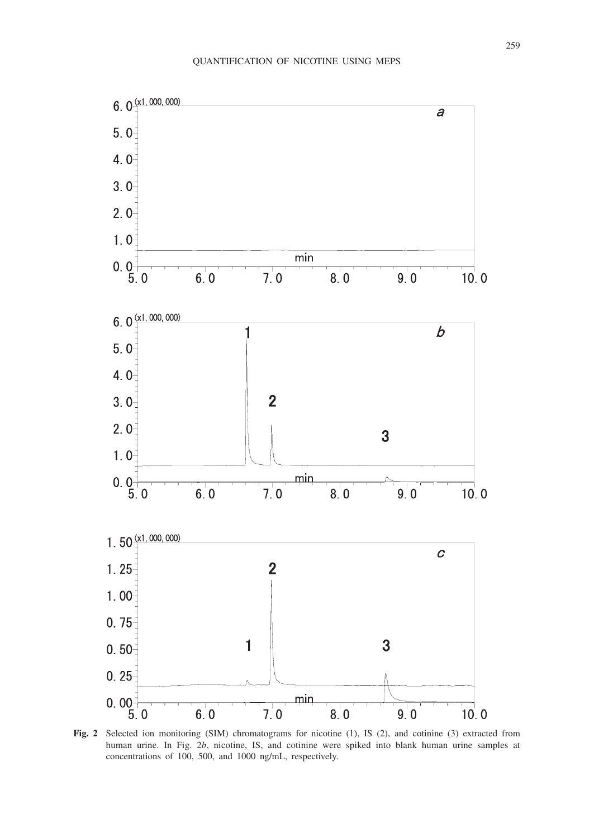

**Fig. 2** Selected ion monitoring (SIM) chromatograms for nicotine (1), IS (2), and cotinine (3) extracted from human urine. In Fig. 2*b*, nicotine, IS, and cotinine were spiked into blank human urine samples at concentrations of 100, 500, and 1000 ng/mL, respectively.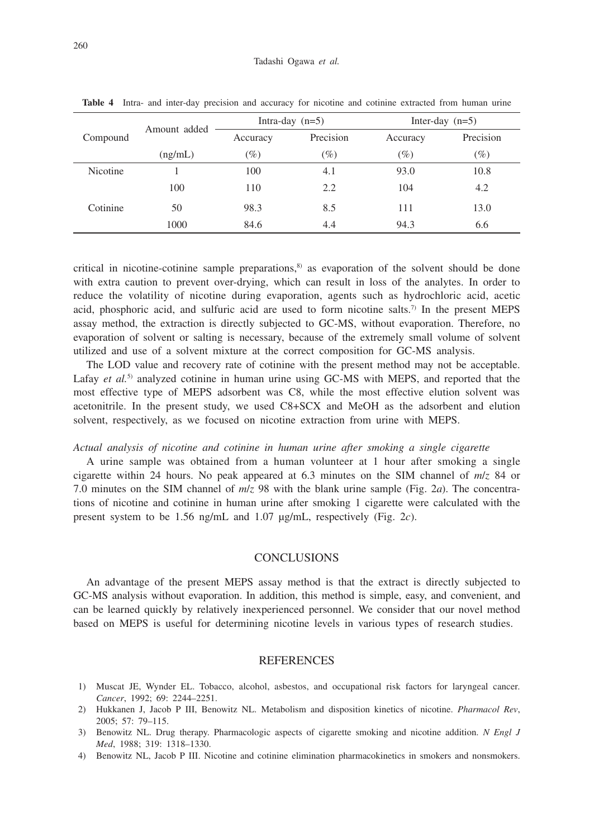|                 | Amount added |          | Intra-day $(n=5)$ | Inter-day $(n=5)$ |           |
|-----------------|--------------|----------|-------------------|-------------------|-----------|
| Compound        |              | Accuracy | Precision         | Accuracy          | Precision |
|                 | (ng/mL)      | $(\%)$   | $(\%)$            | $(\%)$            | $(\%)$    |
| <b>Nicotine</b> |              | 100      | 4.1               | 93.0              | 10.8      |
|                 | 100          | 110      | 2.2               | 104               | 4.2       |
| Cotinine        | 50           | 98.3     | 8.5               | 111               | 13.0      |
|                 | 1000         | 84.6     | 4.4               | 94.3              | 6.6       |

**Table 4** Intra- and inter-day precision and accuracy for nicotine and cotinine extracted from human urine

critical in nicotine-cotinine sample preparations, $s$  as evaporation of the solvent should be done with extra caution to prevent over-drying, which can result in loss of the analytes. In order to reduce the volatility of nicotine during evaporation, agents such as hydrochloric acid, acetic acid, phosphoric acid, and sulfuric acid are used to form nicotine salts.<sup>7)</sup> In the present MEPS assay method, the extraction is directly subjected to GC-MS, without evaporation. Therefore, no evaporation of solvent or salting is necessary, because of the extremely small volume of solvent utilized and use of a solvent mixture at the correct composition for GC-MS analysis.

The LOD value and recovery rate of cotinine with the present method may not be acceptable. Lafay *et al.*<sup>5)</sup> analyzed cotinine in human urine using GC-MS with MEPS, and reported that the most effective type of MEPS adsorbent was C8, while the most effective elution solvent was acetonitrile. In the present study, we used C8+SCX and MeOH as the adsorbent and elution solvent, respectively, as we focused on nicotine extraction from urine with MEPS.

#### *Actual analysis of nicotine and cotinine in human urine after smoking a single cigarette*

A urine sample was obtained from a human volunteer at 1 hour after smoking a single cigarette within 24 hours. No peak appeared at 6.3 minutes on the SIM channel of *m*/*z* 84 or 7.0 minutes on the SIM channel of *m*/*z* 98 with the blank urine sample (Fig. 2*a*). The concentrations of nicotine and cotinine in human urine after smoking 1 cigarette were calculated with the present system to be 1.56 ng/mL and 1.07 µg/mL, respectively (Fig. 2*c*).

## **CONCLUSIONS**

An advantage of the present MEPS assay method is that the extract is directly subjected to GC-MS analysis without evaporation. In addition, this method is simple, easy, and convenient, and can be learned quickly by relatively inexperienced personnel. We consider that our novel method based on MEPS is useful for determining nicotine levels in various types of research studies.

#### REFERENCES

- 1) Muscat JE, Wynder EL. Tobacco, alcohol, asbestos, and occupational risk factors for laryngeal cancer. *Cancer*, 1992; 69: 2244–2251.
- 2) Hukkanen J, Jacob P III, Benowitz NL. Metabolism and disposition kinetics of nicotine. *Pharmacol Rev*, 2005; 57: 79–115.
- 3) Benowitz NL. Drug therapy. Pharmacologic aspects of cigarette smoking and nicotine addition. *N Engl J Med*, 1988; 319: 1318–1330.
- 4) Benowitz NL, Jacob P III. Nicotine and cotinine elimination pharmacokinetics in smokers and nonsmokers.